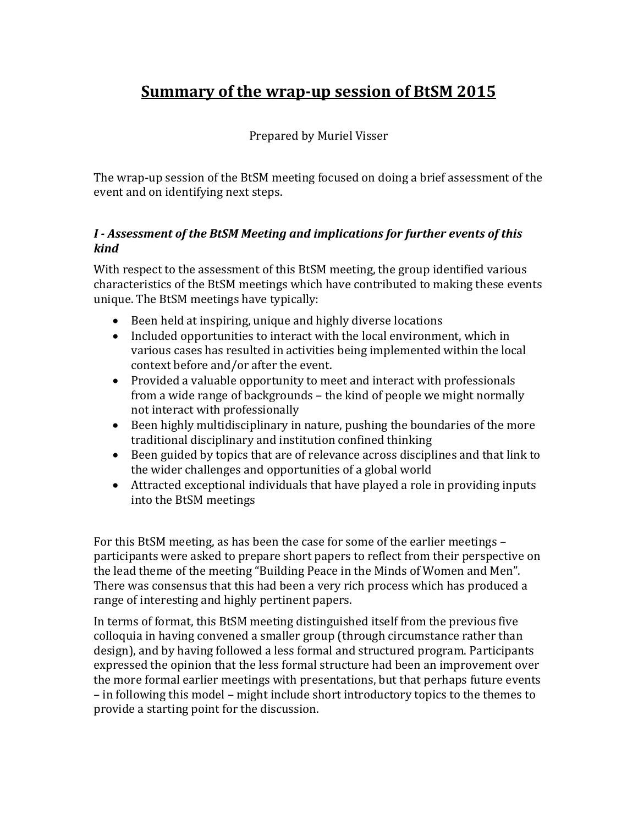# **Summary of the wrap-up session of BtSM 2015**

#### Prepared by Muriel Visser

The wrap-up session of the BtSM meeting focused on doing a brief assessment of the event and on identifying next steps.

#### *I - Assessment of the BtSM Meeting and implications for further events of this kind*

With respect to the assessment of this BtSM meeting, the group identified various characteristics of the BtSM meetings which have contributed to making these events unique. The BtSM meetings have typically:

- Been held at inspiring, unique and highly diverse locations
- Included opportunities to interact with the local environment, which in various cases has resulted in activities being implemented within the local context before and/or after the event.
- Provided a valuable opportunity to meet and interact with professionals from a wide range of backgrounds – the kind of people we might normally not interact with professionally
- Been highly multidisciplinary in nature, pushing the boundaries of the more traditional disciplinary and institution confined thinking
- Been guided by topics that are of relevance across disciplines and that link to the wider challenges and opportunities of a global world
- Attracted exceptional individuals that have played a role in providing inputs into the BtSM meetings

For this BtSM meeting, as has been the case for some of the earlier meetings – participants were asked to prepare short papers to reflect from their perspective on the lead theme of the meeting "Building Peace in the Minds of Women and Men". There was consensus that this had been a very rich process which has produced a range of interesting and highly pertinent papers.

In terms of format, this BtSM meeting distinguished itself from the previous five colloquia in having convened a smaller group (through circumstance rather than design), and by having followed a less formal and structured program. Participants expressed the opinion that the less formal structure had been an improvement over the more formal earlier meetings with presentations, but that perhaps future events – in following this model – might include short introductory topics to the themes to provide a starting point for the discussion.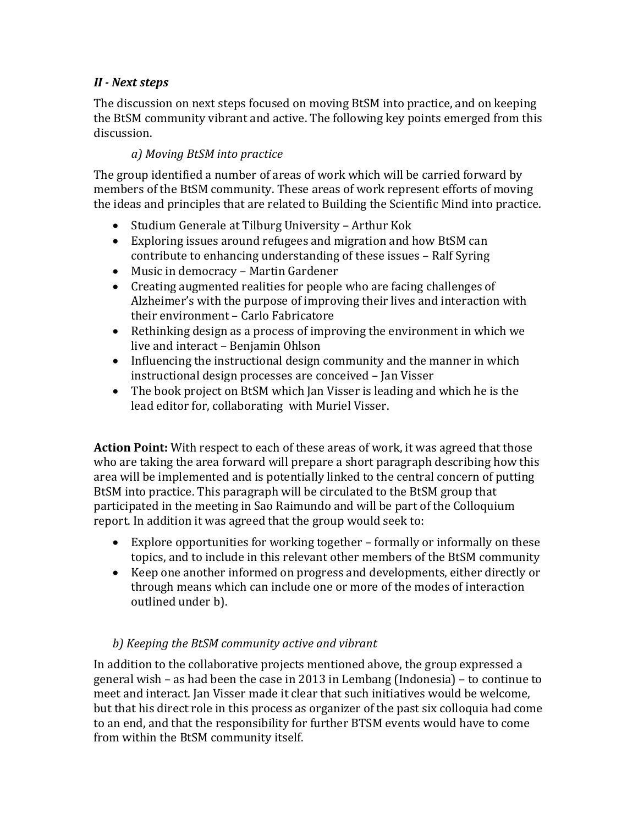### *II - Next steps*

The discussion on next steps focused on moving BtSM into practice, and on keeping the BtSM community vibrant and active. The following key points emerged from this discussion.

### *a) Moving BtSM into practice*

The group identified a number of areas of work which will be carried forward by members of the BtSM community. These areas of work represent efforts of moving the ideas and principles that are related to Building the Scientific Mind into practice.

- Studium Generale at Tilburg University Arthur Kok
- Exploring issues around refugees and migration and how BtSM can contribute to enhancing understanding of these issues – Ralf Syring
- Music in democracy Martin Gardener
- Creating augmented realities for people who are facing challenges of Alzheimer's with the purpose of improving their lives and interaction with their environment – Carlo Fabricatore
- Rethinking design as a process of improving the environment in which we live and interact – Benjamin Ohlson
- Influencing the instructional design community and the manner in which instructional design processes are conceived – Jan Visser
- The book project on BtSM which Jan Visser is leading and which he is the lead editor for, collaborating with Muriel Visser.

**Action Point:** With respect to each of these areas of work, it was agreed that those who are taking the area forward will prepare a short paragraph describing how this area will be implemented and is potentially linked to the central concern of putting BtSM into practice. This paragraph will be circulated to the BtSM group that participated in the meeting in Sao Raimundo and will be part of the Colloquium report. In addition it was agreed that the group would seek to:

- Explore opportunities for working together formally or informally on these topics, and to include in this relevant other members of the BtSM community
- Keep one another informed on progress and developments, either directly or through means which can include one or more of the modes of interaction outlined under b).

## *b) Keeping the BtSM community active and vibrant*

In addition to the collaborative projects mentioned above, the group expressed a general wish – as had been the case in 2013 in Lembang (Indonesia) – to continue to meet and interact. Jan Visser made it clear that such initiatives would be welcome, but that his direct role in this process as organizer of the past six colloquia had come to an end, and that the responsibility for further BTSM events would have to come from within the BtSM community itself.